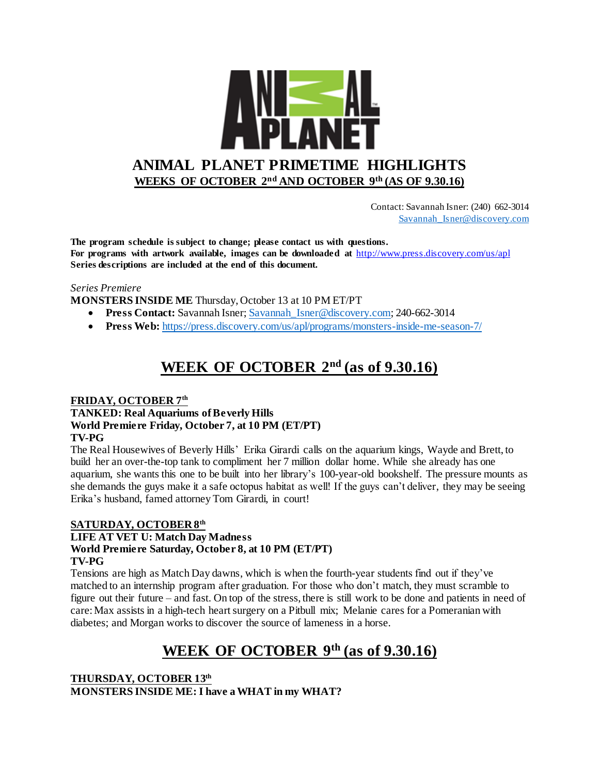

 Contact: Savannah Isner: (240) 662-3014 [Savannah\\_Isner@discovery.com](mailto:Savannah_Isner@discovery.com)

**The program schedule is subject to change; please contact us with questions. For programs with artwork available, images can be downloaded at** http://www.press.discovery.com/us/apl **Series descriptions are included at the end of this document.** 

#### *Series Premiere*

**MONSTERS INSIDE ME** Thursday, October 13 at 10 PM ET/PT

- **Press Contact:** Savannah Isner; Savannah Isner@discovery.com; 240-662-3014
- **Press Web:** <https://press.discovery.com/us/apl/programs/monsters-inside-me-season-7/>

# **WEEK OF OCTOBER 2nd (as of 9.30.16)**

#### **FRIDAY, OCTOBER 7th**

### **TANKED: Real Aquariums of Beverly Hills World Premiere Friday, October 7, at 10 PM (ET/PT) TV-PG**

The Real Housewives of Beverly Hills' Erika Girardi calls on the aquarium kings, Wayde and Brett, to build her an over-the-top tank to compliment her 7 million dollar home. While she already has one aquarium, she wants this one to be built into her library's 100-year-old bookshelf. The pressure mounts as she demands the guys make it a safe octopus habitat as well! If the guys can't deliver, they may be seeing Erika's husband, famed attorney Tom Girardi, in court!

#### **SATURDAY, OCTOBER 8th LIFE AT VET U: Match Day Madness World Premiere Saturday, October 8, at 10 PM (ET/PT) TV-PG**

Tensions are high as Match Day dawns, which is when the fourth-year students find out if they've matched to an internship program after graduation. For those who don't match, they must scramble to figure out their future – and fast. On top of the stress, there is still work to be done and patients in need of care: Max assists in a high-tech heart surgery on a Pitbull mix; Melanie cares for a Pomeranian with diabetes; and Morgan works to discover the source of lameness in a horse.

# **WEEK OF OCTOBER 9th (as of 9.30.16)**

**THURSDAY, OCTOBER 13th MONSTERS INSIDE ME: I have a WHAT in my WHAT?**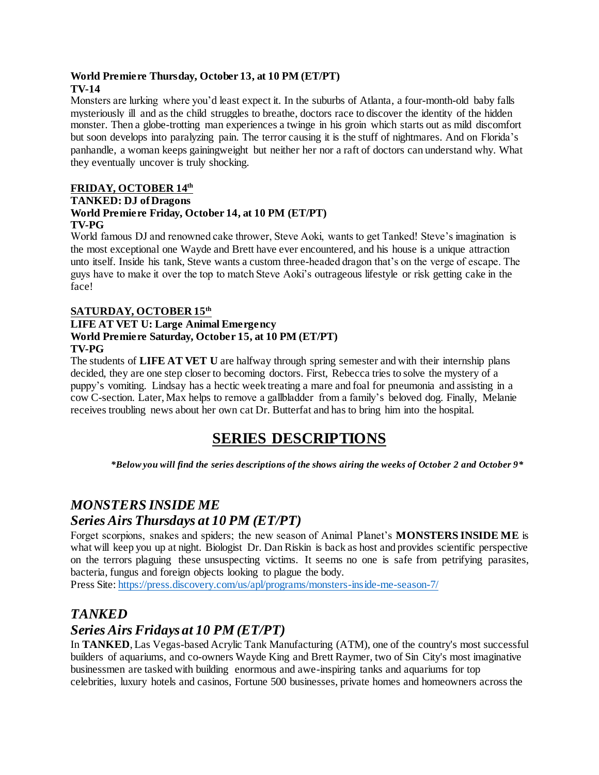#### **World Premiere Thursday, October 13, at 10 PM (ET/PT) TV-14**

Monsters are lurking where you'd least expect it. In the suburbs of Atlanta, a four-month-old baby falls mysteriously ill and as the child struggles to breathe, doctors race to discover the identity of the hidden monster. Then a globe-trotting man experiences a twinge in his groin which starts out as mild discomfort but soon develops into paralyzing pain. The terror causing it is the stuff of nightmares. And on Florida's panhandle, a woman keeps gainingweight but neither her nor a raft of doctors can understand why. What they eventually uncover is truly shocking.

### **FRIDAY, OCTOBER 14th**

### **TANKED: DJ of Dragons**

#### **World Premiere Friday, October 14, at 10 PM (ET/PT) TV-PG**

World famous DJ and renowned cake thrower, Steve Aoki, wants to get Tanked! Steve's imagination is the most exceptional one Wayde and Brett have ever encountered, and his house is a unique attraction unto itself. Inside his tank, Steve wants a custom three-headed dragon that's on the verge of escape. The guys have to make it over the top to match Steve Aoki's outrageous lifestyle or risk getting cake in the face!

### **SATURDAY, OCTOBER 15th**

### **LIFE AT VET U: Large Animal Emergency World Premiere Saturday, October 15, at 10 PM (ET/PT) TV-PG**

The students of **LIFE AT VET U** are halfway through spring semester and with their internship plans decided, they are one step closer to becoming doctors. First, Rebecca tries to solve the mystery of a puppy's vomiting. Lindsay has a hectic week treating a mare and foal for pneumonia and assisting in a cow C-section. Later, Max helps to remove a gallbladder from a family's beloved dog. Finally, Melanie receives troubling news about her own cat Dr. Butterfat and has to bring him into the hospital.

# **SERIES DESCRIPTIONS**

*\*Below you will find the series descriptions of the shows airing the weeks of October 2 and October 9\**

## *MONSTERS INSIDE ME*

## *Series Airs Thursdays at 10 PM (ET/PT)*

Forget scorpions, snakes and spiders; the new season of Animal Planet's **MONSTERS INSIDE ME** is what will keep you up at night. Biologist Dr. Dan Riskin is back as host and provides scientific perspective on the terrors plaguing these unsuspecting victims. It seems no one is safe from petrifying parasites, bacteria, fungus and foreign objects looking to plague the body.

Press Site:<https://press.discovery.com/us/apl/programs/monsters-inside-me-season-7/>

## *TANKED*

## *Series Airs Fridays at 10 PM (ET/PT)*

In **TANKED**, Las Vegas-based Acrylic Tank Manufacturing (ATM), one of the country's most successful builders of aquariums, and co-owners Wayde King and Brett Raymer, two of Sin City's most imaginative businessmen are tasked with building enormous and awe-inspiring tanks and aquariums for top celebrities, luxury hotels and casinos, Fortune 500 businesses, private homes and homeowners across the